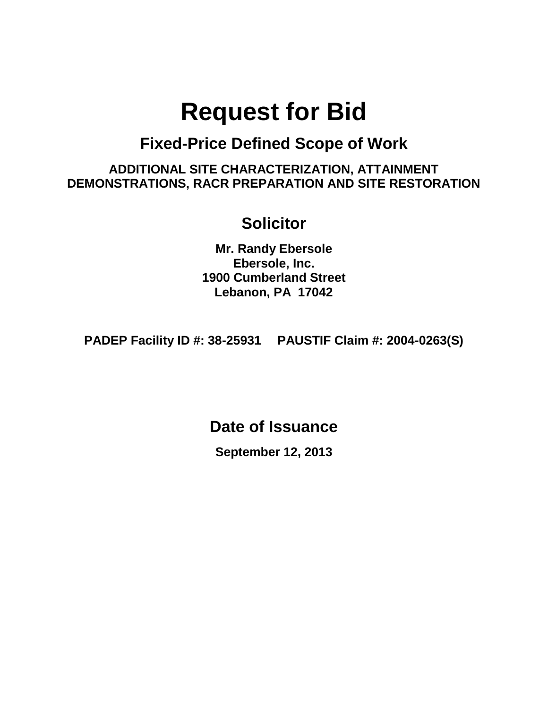# **Request for Bid**

# **Fixed-Price Defined Scope of Work**

**ADDITIONAL SITE CHARACTERIZATION, ATTAINMENT DEMONSTRATIONS, RACR PREPARATION AND SITE RESTORATION**

# **Solicitor**

**Mr. Randy Ebersole Ebersole, Inc. 1900 Cumberland Street Lebanon, PA 17042**

**PADEP Facility ID #: 38-25931 PAUSTIF Claim #: 2004-0263(S)**

**Date of Issuance**

**September 12, 2013**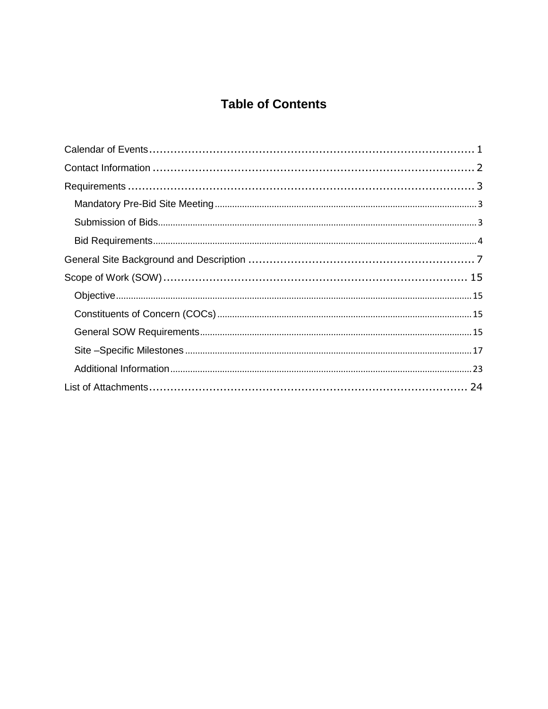# **Table of Contents**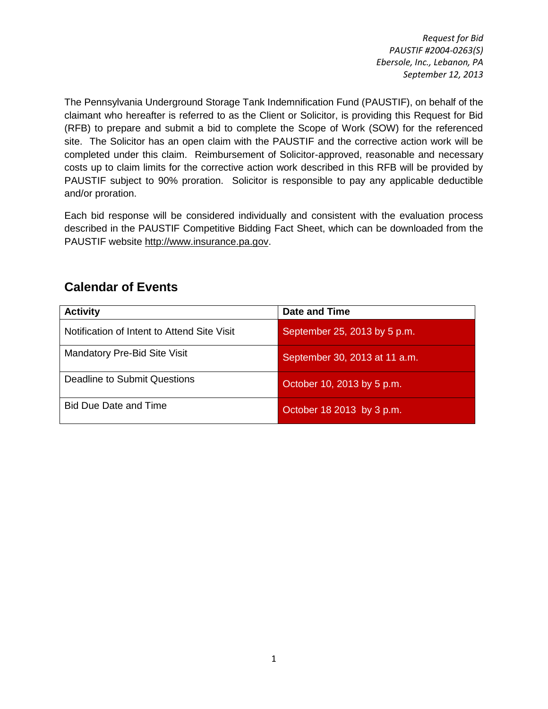The Pennsylvania Underground Storage Tank Indemnification Fund (PAUSTIF), on behalf of the claimant who hereafter is referred to as the Client or Solicitor, is providing this Request for Bid (RFB) to prepare and submit a bid to complete the Scope of Work (SOW) for the referenced site. The Solicitor has an open claim with the PAUSTIF and the corrective action work will be completed under this claim. Reimbursement of Solicitor-approved, reasonable and necessary costs up to claim limits for the corrective action work described in this RFB will be provided by PAUSTIF subject to 90% proration. Solicitor is responsible to pay any applicable deductible and/or proration.

Each bid response will be considered individually and consistent with the evaluation process described in the PAUSTIF Competitive Bidding Fact Sheet, which can be downloaded from the PAUSTIF website [http://www.insurance.pa.gov.](http://www.insurance.pa.gov/)

| <b>Activity</b>                             | Date and Time                 |
|---------------------------------------------|-------------------------------|
| Notification of Intent to Attend Site Visit | September 25, 2013 by 5 p.m.  |
| Mandatory Pre-Bid Site Visit                | September 30, 2013 at 11 a.m. |
| Deadline to Submit Questions                | October 10, 2013 by 5 p.m.    |
| <b>Bid Due Date and Time</b>                | October 18 2013 by 3 p.m.     |

# <span id="page-2-0"></span>**Calendar of Events**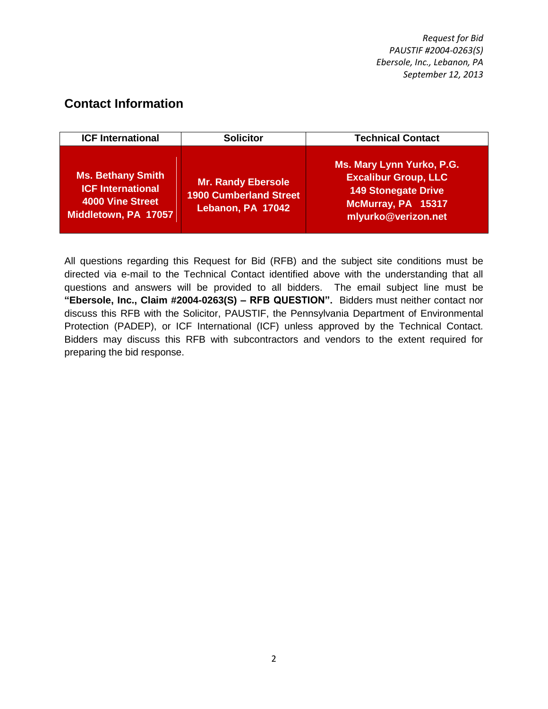# <span id="page-3-0"></span>**Contact Information**

| <b>ICF International</b>                                                                                | <b>Solicitor</b>                                                         | <b>Technical Contact</b>                                                                                                            |
|---------------------------------------------------------------------------------------------------------|--------------------------------------------------------------------------|-------------------------------------------------------------------------------------------------------------------------------------|
| <b>Ms. Bethany Smith</b><br><b>ICF International</b><br><b>4000 Vine Street</b><br>Middletown, PA 17057 | Mr. Randy Ebersole<br><b>1900 Cumberland Street</b><br>Lebanon, PA 17042 | Ms. Mary Lynn Yurko, P.G.<br><b>Excalibur Group, LLC</b><br><b>149 Stonegate Drive</b><br>McMurray, PA 15317<br>mlyurko@verizon.net |

All questions regarding this Request for Bid (RFB) and the subject site conditions must be directed via e-mail to the Technical Contact identified above with the understanding that all questions and answers will be provided to all bidders. The email subject line must be **"Ebersole, Inc., Claim #2004-0263(S) – RFB QUESTION".** Bidders must neither contact nor discuss this RFB with the Solicitor, PAUSTIF, the Pennsylvania Department of Environmental Protection (PADEP), or ICF International (ICF) unless approved by the Technical Contact. Bidders may discuss this RFB with subcontractors and vendors to the extent required for preparing the bid response.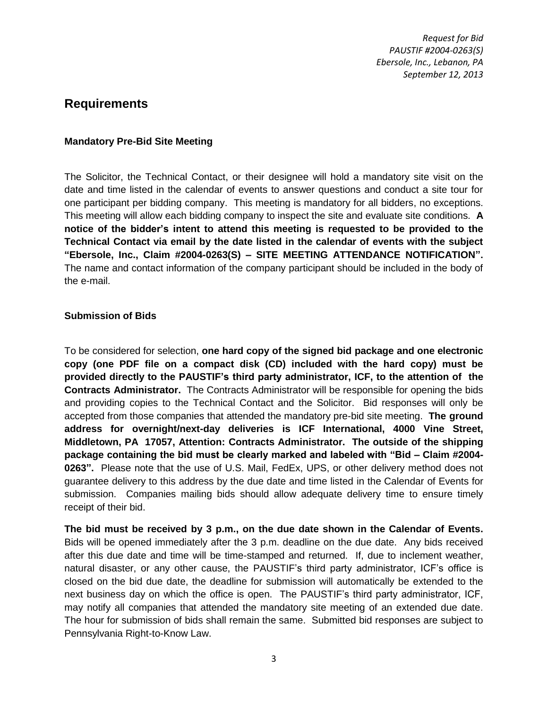### <span id="page-4-0"></span>**Requirements**

#### <span id="page-4-1"></span>**Mandatory Pre-Bid Site Meeting**

The Solicitor, the Technical Contact, or their designee will hold a mandatory site visit on the date and time listed in the calendar of events to answer questions and conduct a site tour for one participant per bidding company. This meeting is mandatory for all bidders, no exceptions. This meeting will allow each bidding company to inspect the site and evaluate site conditions. **A notice of the bidder's intent to attend this meeting is requested to be provided to the Technical Contact via email by the date listed in the calendar of events with the subject "Ebersole, Inc., Claim #2004-0263(S) – SITE MEETING ATTENDANCE NOTIFICATION".** The name and contact information of the company participant should be included in the body of the e-mail.

#### <span id="page-4-2"></span>**Submission of Bids**

To be considered for selection, **one hard copy of the signed bid package and one electronic copy (one PDF file on a compact disk (CD) included with the hard copy) must be provided directly to the PAUSTIF's third party administrator, ICF, to the attention of the Contracts Administrator.** The Contracts Administrator will be responsible for opening the bids and providing copies to the Technical Contact and the Solicitor. Bid responses will only be accepted from those companies that attended the mandatory pre-bid site meeting. **The ground address for overnight/next-day deliveries is ICF International, 4000 Vine Street, Middletown, PA 17057, Attention: Contracts Administrator. The outside of the shipping package containing the bid must be clearly marked and labeled with "Bid – Claim #2004- 0263".** Please note that the use of U.S. Mail, FedEx, UPS, or other delivery method does not guarantee delivery to this address by the due date and time listed in the Calendar of Events for submission. Companies mailing bids should allow adequate delivery time to ensure timely receipt of their bid.

**The bid must be received by 3 p.m., on the due date shown in the Calendar of Events.** Bids will be opened immediately after the 3 p.m. deadline on the due date. Any bids received after this due date and time will be time-stamped and returned. If, due to inclement weather, natural disaster, or any other cause, the PAUSTIF's third party administrator, ICF's office is closed on the bid due date, the deadline for submission will automatically be extended to the next business day on which the office is open. The PAUSTIF's third party administrator, ICF, may notify all companies that attended the mandatory site meeting of an extended due date. The hour for submission of bids shall remain the same. Submitted bid responses are subject to Pennsylvania Right-to-Know Law.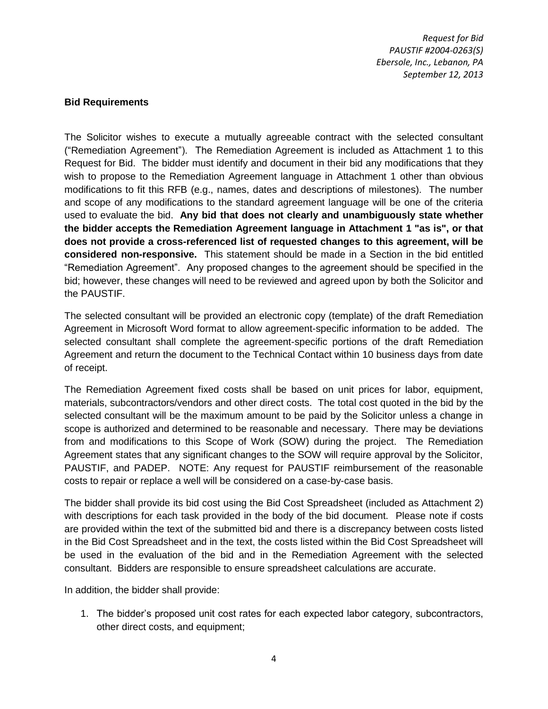#### <span id="page-5-0"></span>**Bid Requirements**

The Solicitor wishes to execute a mutually agreeable contract with the selected consultant ("Remediation Agreement"). The Remediation Agreement is included as Attachment 1 to this Request for Bid. The bidder must identify and document in their bid any modifications that they wish to propose to the Remediation Agreement language in Attachment 1 other than obvious modifications to fit this RFB (e.g., names, dates and descriptions of milestones). The number and scope of any modifications to the standard agreement language will be one of the criteria used to evaluate the bid. **Any bid that does not clearly and unambiguously state whether the bidder accepts the Remediation Agreement language in Attachment 1 "as is", or that does not provide a cross-referenced list of requested changes to this agreement, will be considered non-responsive.** This statement should be made in a Section in the bid entitled "Remediation Agreement". Any proposed changes to the agreement should be specified in the bid; however, these changes will need to be reviewed and agreed upon by both the Solicitor and the PAUSTIF.

The selected consultant will be provided an electronic copy (template) of the draft Remediation Agreement in Microsoft Word format to allow agreement-specific information to be added. The selected consultant shall complete the agreement-specific portions of the draft Remediation Agreement and return the document to the Technical Contact within 10 business days from date of receipt.

The Remediation Agreement fixed costs shall be based on unit prices for labor, equipment, materials, subcontractors/vendors and other direct costs. The total cost quoted in the bid by the selected consultant will be the maximum amount to be paid by the Solicitor unless a change in scope is authorized and determined to be reasonable and necessary. There may be deviations from and modifications to this Scope of Work (SOW) during the project. The Remediation Agreement states that any significant changes to the SOW will require approval by the Solicitor, PAUSTIF, and PADEP. NOTE: Any request for PAUSTIF reimbursement of the reasonable costs to repair or replace a well will be considered on a case-by-case basis.

The bidder shall provide its bid cost using the Bid Cost Spreadsheet (included as Attachment 2) with descriptions for each task provided in the body of the bid document. Please note if costs are provided within the text of the submitted bid and there is a discrepancy between costs listed in the Bid Cost Spreadsheet and in the text, the costs listed within the Bid Cost Spreadsheet will be used in the evaluation of the bid and in the Remediation Agreement with the selected consultant. Bidders are responsible to ensure spreadsheet calculations are accurate.

In addition, the bidder shall provide:

1. The bidder's proposed unit cost rates for each expected labor category, subcontractors, other direct costs, and equipment;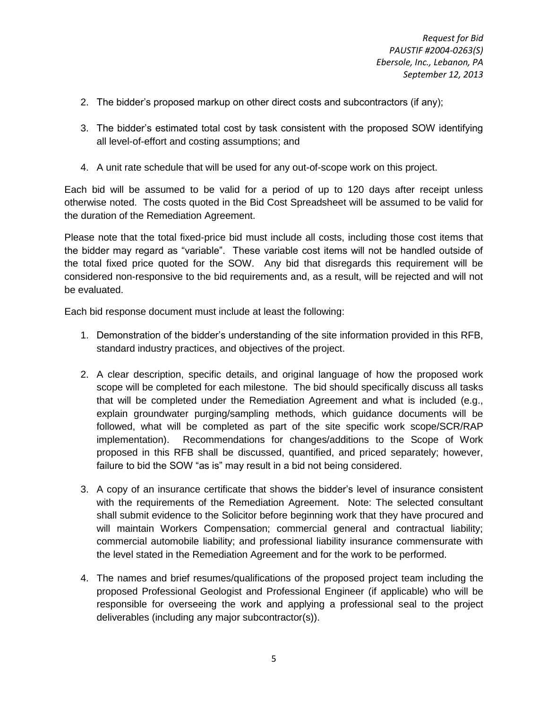- 2. The bidder's proposed markup on other direct costs and subcontractors (if any);
- 3. The bidder's estimated total cost by task consistent with the proposed SOW identifying all level-of-effort and costing assumptions; and
- 4. A unit rate schedule that will be used for any out-of-scope work on this project.

Each bid will be assumed to be valid for a period of up to 120 days after receipt unless otherwise noted. The costs quoted in the Bid Cost Spreadsheet will be assumed to be valid for the duration of the Remediation Agreement.

Please note that the total fixed-price bid must include all costs, including those cost items that the bidder may regard as "variable". These variable cost items will not be handled outside of the total fixed price quoted for the SOW. Any bid that disregards this requirement will be considered non-responsive to the bid requirements and, as a result, will be rejected and will not be evaluated.

Each bid response document must include at least the following:

- 1. Demonstration of the bidder's understanding of the site information provided in this RFB, standard industry practices, and objectives of the project.
- 2. A clear description, specific details, and original language of how the proposed work scope will be completed for each milestone. The bid should specifically discuss all tasks that will be completed under the Remediation Agreement and what is included (e.g., explain groundwater purging/sampling methods, which guidance documents will be followed, what will be completed as part of the site specific work scope/SCR/RAP implementation). Recommendations for changes/additions to the Scope of Work proposed in this RFB shall be discussed, quantified, and priced separately; however, failure to bid the SOW "as is" may result in a bid not being considered.
- 3. A copy of an insurance certificate that shows the bidder's level of insurance consistent with the requirements of the Remediation Agreement. Note: The selected consultant shall submit evidence to the Solicitor before beginning work that they have procured and will maintain Workers Compensation; commercial general and contractual liability; commercial automobile liability; and professional liability insurance commensurate with the level stated in the Remediation Agreement and for the work to be performed.
- 4. The names and brief resumes/qualifications of the proposed project team including the proposed Professional Geologist and Professional Engineer (if applicable) who will be responsible for overseeing the work and applying a professional seal to the project deliverables (including any major subcontractor(s)).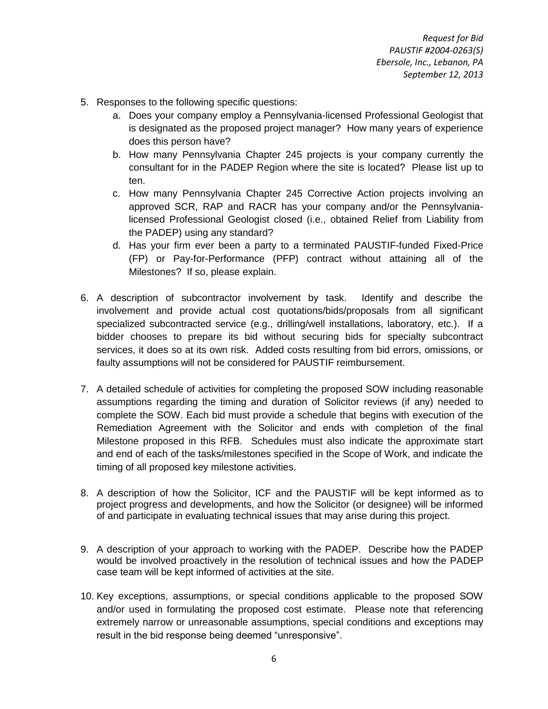- 5. Responses to the following specific questions:
	- a. Does your company employ a Pennsylvania-licensed Professional Geologist that is designated as the proposed project manager? How many years of experience does this person have?
	- b. How many Pennsylvania Chapter 245 projects is your company currently the consultant for in the PADEP Region where the site is located? Please list up to ten.
	- c. How many Pennsylvania Chapter 245 Corrective Action projects involving an approved SCR, RAP and RACR has your company and/or the Pennsylvanialicensed Professional Geologist closed (i.e., obtained Relief from Liability from the PADEP) using any standard?
	- d. Has your firm ever been a party to a terminated PAUSTIF-funded Fixed-Price (FP) or Pay-for-Performance (PFP) contract without attaining all of the Milestones? If so, please explain.
- 6. A description of subcontractor involvement by task. Identify and describe the involvement and provide actual cost quotations/bids/proposals from all significant specialized subcontracted service (e.g., drilling/well installations, laboratory, etc.). If a bidder chooses to prepare its bid without securing bids for specialty subcontract services, it does so at its own risk. Added costs resulting from bid errors, omissions, or faulty assumptions will not be considered for PAUSTIF reimbursement.
- 7. A detailed schedule of activities for completing the proposed SOW including reasonable assumptions regarding the timing and duration of Solicitor reviews (if any) needed to complete the SOW. Each bid must provide a schedule that begins with execution of the Remediation Agreement with the Solicitor and ends with completion of the final Milestone proposed in this RFB. Schedules must also indicate the approximate start and end of each of the tasks/milestones specified in the Scope of Work, and indicate the timing of all proposed key milestone activities.
- 8. A description of how the Solicitor, ICF and the PAUSTIF will be kept informed as to project progress and developments, and how the Solicitor (or designee) will be informed of and participate in evaluating technical issues that may arise during this project.
- 9. A description of your approach to working with the PADEP. Describe how the PADEP would be involved proactively in the resolution of technical issues and how the PADEP case team will be kept informed of activities at the site.
- 10. Key exceptions, assumptions, or special conditions applicable to the proposed SOW and/or used in formulating the proposed cost estimate. Please note that referencing extremely narrow or unreasonable assumptions, special conditions and exceptions may result in the bid response being deemed "unresponsive".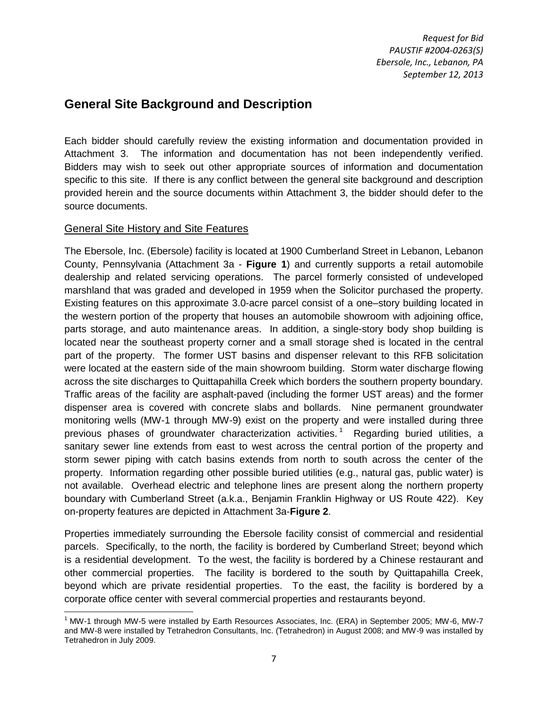## <span id="page-8-0"></span>**General Site Background and Description**

Each bidder should carefully review the existing information and documentation provided in Attachment 3. The information and documentation has not been independently verified. Bidders may wish to seek out other appropriate sources of information and documentation specific to this site. If there is any conflict between the general site background and description provided herein and the source documents within Attachment 3, the bidder should defer to the source documents.

#### General Site History and Site Features

The Ebersole, Inc. (Ebersole) facility is located at 1900 Cumberland Street in Lebanon, Lebanon County, Pennsylvania (Attachment 3a - **Figure 1**) and currently supports a retail automobile dealership and related servicing operations. The parcel formerly consisted of undeveloped marshland that was graded and developed in 1959 when the Solicitor purchased the property. Existing features on this approximate 3.0-acre parcel consist of a one–story building located in the western portion of the property that houses an automobile showroom with adjoining office, parts storage, and auto maintenance areas. In addition, a single-story body shop building is located near the southeast property corner and a small storage shed is located in the central part of the property. The former UST basins and dispenser relevant to this RFB solicitation were located at the eastern side of the main showroom building. Storm water discharge flowing across the site discharges to Quittapahilla Creek which borders the southern property boundary. Traffic areas of the facility are asphalt-paved (including the former UST areas) and the former dispenser area is covered with concrete slabs and bollards. Nine permanent groundwater monitoring wells (MW-1 through MW-9) exist on the property and were installed during three previous phases of groundwater characterization activities.<sup>1</sup> Regarding buried utilities, a sanitary sewer line extends from east to west across the central portion of the property and storm sewer piping with catch basins extends from north to south across the center of the property. Information regarding other possible buried utilities (e.g., natural gas, public water) is not available. Overhead electric and telephone lines are present along the northern property boundary with Cumberland Street (a.k.a., Benjamin Franklin Highway or US Route 422). Key on-property features are depicted in Attachment 3a-**Figure 2**.

Properties immediately surrounding the Ebersole facility consist of commercial and residential parcels. Specifically, to the north, the facility is bordered by Cumberland Street; beyond which is a residential development. To the west, the facility is bordered by a Chinese restaurant and other commercial properties. The facility is bordered to the south by Quittapahilla Creek, beyond which are private residential properties. To the east, the facility is bordered by a corporate office center with several commercial properties and restaurants beyond.

l <sup>1</sup> MW-1 through MW-5 were installed by Earth Resources Associates, Inc. (ERA) in September 2005; MW-6, MW-7 and MW-8 were installed by Tetrahedron Consultants, Inc. (Tetrahedron) in August 2008; and MW-9 was installed by Tetrahedron in July 2009.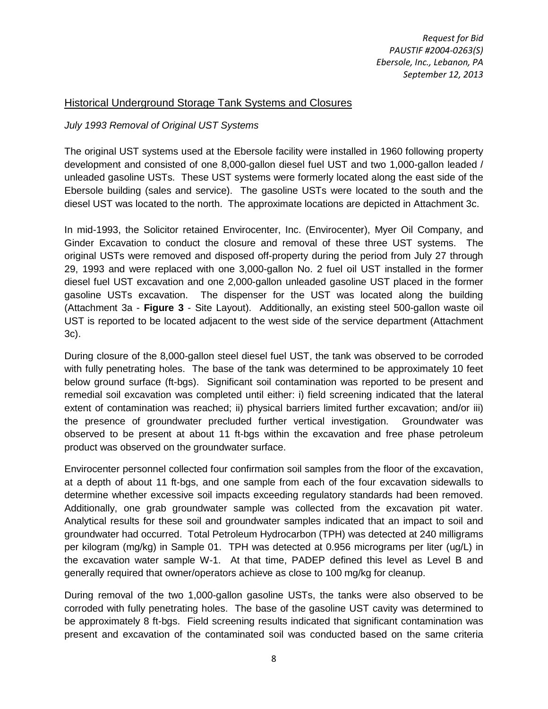#### Historical Underground Storage Tank Systems and Closures

#### *July 1993 Removal of Original UST Systems*

The original UST systems used at the Ebersole facility were installed in 1960 following property development and consisted of one 8,000-gallon diesel fuel UST and two 1,000-gallon leaded / unleaded gasoline USTs. These UST systems were formerly located along the east side of the Ebersole building (sales and service). The gasoline USTs were located to the south and the diesel UST was located to the north. The approximate locations are depicted in Attachment 3c.

In mid-1993, the Solicitor retained Envirocenter, Inc. (Envirocenter), Myer Oil Company, and Ginder Excavation to conduct the closure and removal of these three UST systems. The original USTs were removed and disposed off-property during the period from July 27 through 29, 1993 and were replaced with one 3,000-gallon No. 2 fuel oil UST installed in the former diesel fuel UST excavation and one 2,000-gallon unleaded gasoline UST placed in the former gasoline USTs excavation. The dispenser for the UST was located along the building (Attachment 3a - **Figure 3** - Site Layout). Additionally, an existing steel 500-gallon waste oil UST is reported to be located adjacent to the west side of the service department (Attachment 3c).

During closure of the 8,000-gallon steel diesel fuel UST, the tank was observed to be corroded with fully penetrating holes. The base of the tank was determined to be approximately 10 feet below ground surface (ft-bgs). Significant soil contamination was reported to be present and remedial soil excavation was completed until either: i) field screening indicated that the lateral extent of contamination was reached; ii) physical barriers limited further excavation; and/or iii) the presence of groundwater precluded further vertical investigation. Groundwater was observed to be present at about 11 ft-bgs within the excavation and free phase petroleum product was observed on the groundwater surface.

Envirocenter personnel collected four confirmation soil samples from the floor of the excavation, at a depth of about 11 ft-bgs, and one sample from each of the four excavation sidewalls to determine whether excessive soil impacts exceeding regulatory standards had been removed. Additionally, one grab groundwater sample was collected from the excavation pit water. Analytical results for these soil and groundwater samples indicated that an impact to soil and groundwater had occurred. Total Petroleum Hydrocarbon (TPH) was detected at 240 milligrams per kilogram (mg/kg) in Sample 01. TPH was detected at 0.956 micrograms per liter (ug/L) in the excavation water sample W-1. At that time, PADEP defined this level as Level B and generally required that owner/operators achieve as close to 100 mg/kg for cleanup.

During removal of the two 1,000-gallon gasoline USTs, the tanks were also observed to be corroded with fully penetrating holes. The base of the gasoline UST cavity was determined to be approximately 8 ft-bgs. Field screening results indicated that significant contamination was present and excavation of the contaminated soil was conducted based on the same criteria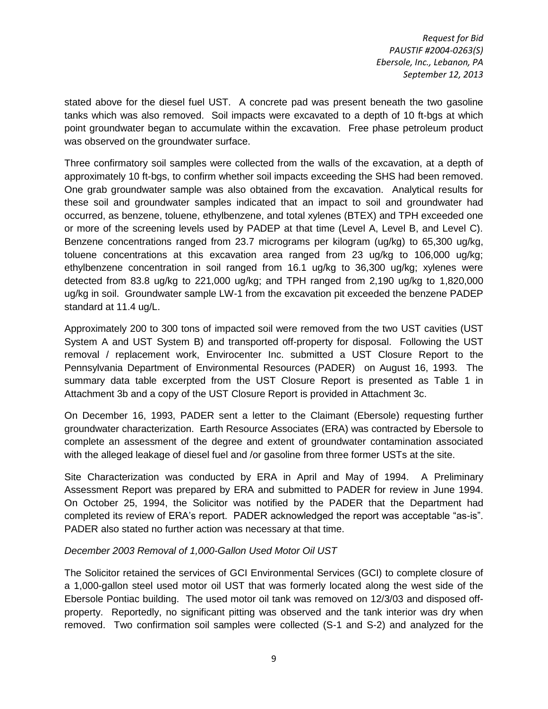stated above for the diesel fuel UST. A concrete pad was present beneath the two gasoline tanks which was also removed. Soil impacts were excavated to a depth of 10 ft-bgs at which point groundwater began to accumulate within the excavation. Free phase petroleum product was observed on the groundwater surface.

Three confirmatory soil samples were collected from the walls of the excavation, at a depth of approximately 10 ft-bgs, to confirm whether soil impacts exceeding the SHS had been removed. One grab groundwater sample was also obtained from the excavation. Analytical results for these soil and groundwater samples indicated that an impact to soil and groundwater had occurred, as benzene, toluene, ethylbenzene, and total xylenes (BTEX) and TPH exceeded one or more of the screening levels used by PADEP at that time (Level A, Level B, and Level C). Benzene concentrations ranged from 23.7 micrograms per kilogram (ug/kg) to 65,300 ug/kg, toluene concentrations at this excavation area ranged from 23 ug/kg to 106,000 ug/kg; ethylbenzene concentration in soil ranged from 16.1 ug/kg to 36,300 ug/kg; xylenes were detected from 83.8 ug/kg to 221,000 ug/kg; and TPH ranged from 2,190 ug/kg to 1,820,000 ug/kg in soil. Groundwater sample LW-1 from the excavation pit exceeded the benzene PADEP standard at 11.4 ug/L.

Approximately 200 to 300 tons of impacted soil were removed from the two UST cavities (UST System A and UST System B) and transported off-property for disposal. Following the UST removal / replacement work, Envirocenter Inc. submitted a UST Closure Report to the Pennsylvania Department of Environmental Resources (PADER) on August 16, 1993. The summary data table excerpted from the UST Closure Report is presented as Table 1 in Attachment 3b and a copy of the UST Closure Report is provided in Attachment 3c.

On December 16, 1993, PADER sent a letter to the Claimant (Ebersole) requesting further groundwater characterization. Earth Resource Associates (ERA) was contracted by Ebersole to complete an assessment of the degree and extent of groundwater contamination associated with the alleged leakage of diesel fuel and /or gasoline from three former USTs at the site.

Site Characterization was conducted by ERA in April and May of 1994. A Preliminary Assessment Report was prepared by ERA and submitted to PADER for review in June 1994. On October 25, 1994, the Solicitor was notified by the PADER that the Department had completed its review of ERA's report. PADER acknowledged the report was acceptable "as-is". PADER also stated no further action was necessary at that time.

#### *December 2003 Removal of 1,000-Gallon Used Motor Oil UST*

The Solicitor retained the services of GCI Environmental Services (GCI) to complete closure of a 1,000-gallon steel used motor oil UST that was formerly located along the west side of the Ebersole Pontiac building. The used motor oil tank was removed on 12/3/03 and disposed offproperty. Reportedly, no significant pitting was observed and the tank interior was dry when removed. Two confirmation soil samples were collected (S-1 and S-2) and analyzed for the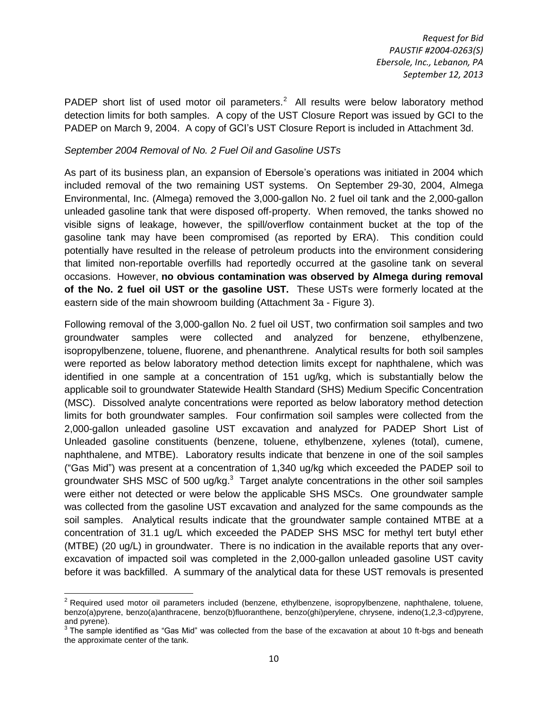PADEP short list of used motor oil parameters.<sup>2</sup> All results were below laboratory method detection limits for both samples. A copy of the UST Closure Report was issued by GCI to the PADEP on March 9, 2004. A copy of GCI's UST Closure Report is included in Attachment 3d.

#### *September 2004 Removal of No. 2 Fuel Oil and Gasoline USTs*

As part of its business plan, an expansion of Ebersole's operations was initiated in 2004 which included removal of the two remaining UST systems. On September 29-30, 2004, Almega Environmental, Inc. (Almega) removed the 3,000-gallon No. 2 fuel oil tank and the 2,000-gallon unleaded gasoline tank that were disposed off-property. When removed, the tanks showed no visible signs of leakage, however, the spill/overflow containment bucket at the top of the gasoline tank may have been compromised (as reported by ERA). This condition could potentially have resulted in the release of petroleum products into the environment considering that limited non-reportable overfills had reportedly occurred at the gasoline tank on several occasions. However, **no obvious contamination was observed by Almega during removal of the No. 2 fuel oil UST or the gasoline UST.** These USTs were formerly located at the eastern side of the main showroom building (Attachment 3a - Figure 3).

Following removal of the 3,000-gallon No. 2 fuel oil UST, two confirmation soil samples and two groundwater samples were collected and analyzed for benzene, ethylbenzene, isopropylbenzene, toluene, fluorene, and phenanthrene. Analytical results for both soil samples were reported as below laboratory method detection limits except for naphthalene, which was identified in one sample at a concentration of 151 ug/kg, which is substantially below the applicable soil to groundwater Statewide Health Standard (SHS) Medium Specific Concentration (MSC). Dissolved analyte concentrations were reported as below laboratory method detection limits for both groundwater samples. Four confirmation soil samples were collected from the 2,000-gallon unleaded gasoline UST excavation and analyzed for PADEP Short List of Unleaded gasoline constituents (benzene, toluene, ethylbenzene, xylenes (total), cumene, naphthalene, and MTBE). Laboratory results indicate that benzene in one of the soil samples ("Gas Mid") was present at a concentration of 1,340 ug/kg which exceeded the PADEP soil to groundwater SHS MSC of 500 ug/kg. $3$  Target analyte concentrations in the other soil samples were either not detected or were below the applicable SHS MSCs. One groundwater sample was collected from the gasoline UST excavation and analyzed for the same compounds as the soil samples. Analytical results indicate that the groundwater sample contained MTBE at a concentration of 31.1 ug/L which exceeded the PADEP SHS MSC for methyl tert butyl ether (MTBE) (20 ug/L) in groundwater. There is no indication in the available reports that any overexcavation of impacted soil was completed in the 2,000-gallon unleaded gasoline UST cavity before it was backfilled. A summary of the analytical data for these UST removals is presented

l  $2$  Required used motor oil parameters included (benzene, ethylbenzene, isopropylbenzene, naphthalene, toluene, benzo(a)pyrene, benzo(a)anthracene, benzo(b)fluoranthene, benzo(ghi)perylene, chrysene, indeno(1,2,3-cd)pyrene, and pyrene).

 $3$  The sample identified as "Gas Mid" was collected from the base of the excavation at about 10 ft-bgs and beneath the approximate center of the tank.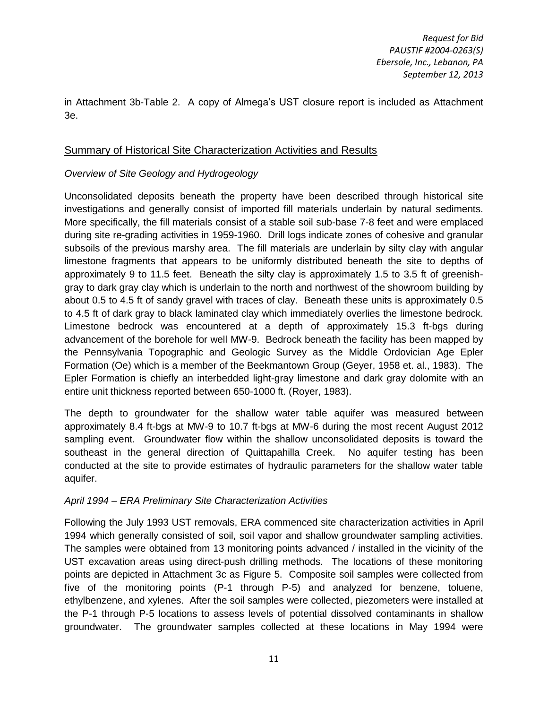in Attachment 3b-Table 2. A copy of Almega's UST closure report is included as Attachment 3e.

#### Summary of Historical Site Characterization Activities and Results

#### *Overview of Site Geology and Hydrogeology*

Unconsolidated deposits beneath the property have been described through historical site investigations and generally consist of imported fill materials underlain by natural sediments. More specifically, the fill materials consist of a stable soil sub-base 7-8 feet and were emplaced during site re-grading activities in 1959-1960. Drill logs indicate zones of cohesive and granular subsoils of the previous marshy area. The fill materials are underlain by silty clay with angular limestone fragments that appears to be uniformly distributed beneath the site to depths of approximately 9 to 11.5 feet. Beneath the silty clay is approximately 1.5 to 3.5 ft of greenishgray to dark gray clay which is underlain to the north and northwest of the showroom building by about 0.5 to 4.5 ft of sandy gravel with traces of clay. Beneath these units is approximately 0.5 to 4.5 ft of dark gray to black laminated clay which immediately overlies the limestone bedrock. Limestone bedrock was encountered at a depth of approximately 15.3 ft-bgs during advancement of the borehole for well MW-9. Bedrock beneath the facility has been mapped by the Pennsylvania Topographic and Geologic Survey as the Middle Ordovician Age Epler Formation (Oe) which is a member of the Beekmantown Group (Geyer, 1958 et. al., 1983). The Epler Formation is chiefly an interbedded light-gray limestone and dark gray dolomite with an entire unit thickness reported between 650-1000 ft. (Royer, 1983).

The depth to groundwater for the shallow water table aquifer was measured between approximately 8.4 ft-bgs at MW-9 to 10.7 ft-bgs at MW-6 during the most recent August 2012 sampling event. Groundwater flow within the shallow unconsolidated deposits is toward the southeast in the general direction of Quittapahilla Creek. No aquifer testing has been conducted at the site to provide estimates of hydraulic parameters for the shallow water table aquifer.

#### *April 1994 – ERA Preliminary Site Characterization Activities*

Following the July 1993 UST removals, ERA commenced site characterization activities in April 1994 which generally consisted of soil, soil vapor and shallow groundwater sampling activities. The samples were obtained from 13 monitoring points advanced / installed in the vicinity of the UST excavation areas using direct-push drilling methods. The locations of these monitoring points are depicted in Attachment 3c as Figure 5. Composite soil samples were collected from five of the monitoring points (P-1 through P-5) and analyzed for benzene, toluene, ethylbenzene, and xylenes. After the soil samples were collected, piezometers were installed at the P-1 through P-5 locations to assess levels of potential dissolved contaminants in shallow groundwater. The groundwater samples collected at these locations in May 1994 were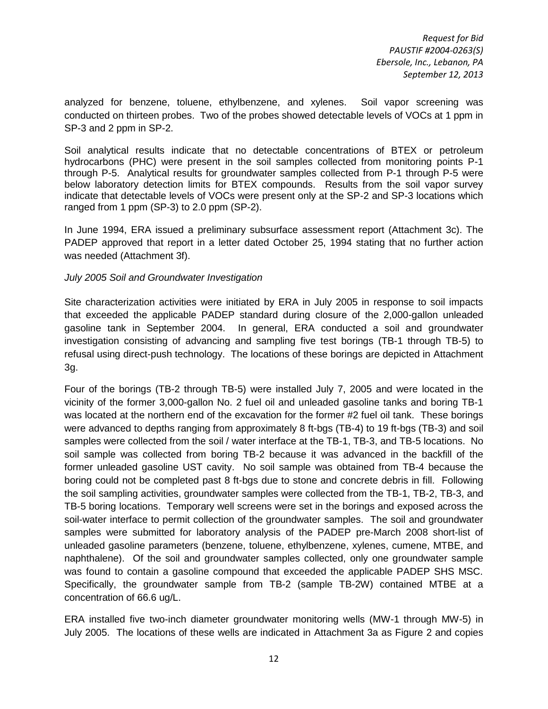analyzed for benzene, toluene, ethylbenzene, and xylenes. Soil vapor screening was conducted on thirteen probes. Two of the probes showed detectable levels of VOCs at 1 ppm in SP-3 and 2 ppm in SP-2.

Soil analytical results indicate that no detectable concentrations of BTEX or petroleum hydrocarbons (PHC) were present in the soil samples collected from monitoring points P-1 through P-5. Analytical results for groundwater samples collected from P-1 through P-5 were below laboratory detection limits for BTEX compounds. Results from the soil vapor survey indicate that detectable levels of VOCs were present only at the SP-2 and SP-3 locations which ranged from 1 ppm (SP-3) to 2.0 ppm (SP-2).

In June 1994, ERA issued a preliminary subsurface assessment report (Attachment 3c). The PADEP approved that report in a letter dated October 25, 1994 stating that no further action was needed (Attachment 3f).

#### *July 2005 Soil and Groundwater Investigation*

Site characterization activities were initiated by ERA in July 2005 in response to soil impacts that exceeded the applicable PADEP standard during closure of the 2,000-gallon unleaded gasoline tank in September 2004. In general, ERA conducted a soil and groundwater investigation consisting of advancing and sampling five test borings (TB-1 through TB-5) to refusal using direct-push technology. The locations of these borings are depicted in Attachment 3g.

Four of the borings (TB-2 through TB-5) were installed July 7, 2005 and were located in the vicinity of the former 3,000-gallon No. 2 fuel oil and unleaded gasoline tanks and boring TB-1 was located at the northern end of the excavation for the former #2 fuel oil tank. These borings were advanced to depths ranging from approximately 8 ft-bgs (TB-4) to 19 ft-bgs (TB-3) and soil samples were collected from the soil / water interface at the TB-1, TB-3, and TB-5 locations. No soil sample was collected from boring TB-2 because it was advanced in the backfill of the former unleaded gasoline UST cavity. No soil sample was obtained from TB-4 because the boring could not be completed past 8 ft-bgs due to stone and concrete debris in fill. Following the soil sampling activities, groundwater samples were collected from the TB-1, TB-2, TB-3, and TB-5 boring locations. Temporary well screens were set in the borings and exposed across the soil-water interface to permit collection of the groundwater samples. The soil and groundwater samples were submitted for laboratory analysis of the PADEP pre-March 2008 short-list of unleaded gasoline parameters (benzene, toluene, ethylbenzene, xylenes, cumene, MTBE, and naphthalene). Of the soil and groundwater samples collected, only one groundwater sample was found to contain a gasoline compound that exceeded the applicable PADEP SHS MSC. Specifically, the groundwater sample from TB-2 (sample TB-2W) contained MTBE at a concentration of 66.6 ug/L.

ERA installed five two-inch diameter groundwater monitoring wells (MW-1 through MW-5) in July 2005. The locations of these wells are indicated in Attachment 3a as Figure 2 and copies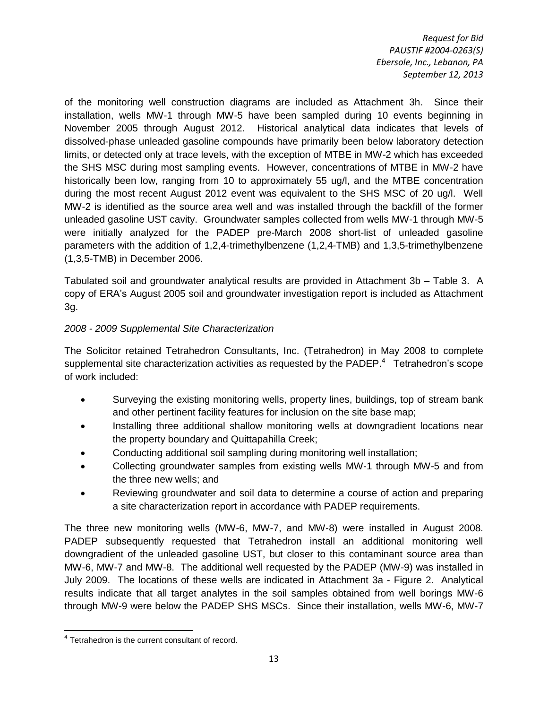of the monitoring well construction diagrams are included as Attachment 3h. Since their installation, wells MW-1 through MW-5 have been sampled during 10 events beginning in November 2005 through August 2012. Historical analytical data indicates that levels of dissolved-phase unleaded gasoline compounds have primarily been below laboratory detection limits, or detected only at trace levels, with the exception of MTBE in MW-2 which has exceeded the SHS MSC during most sampling events. However, concentrations of MTBE in MW-2 have historically been low, ranging from 10 to approximately 55 ug/l, and the MTBE concentration during the most recent August 2012 event was equivalent to the SHS MSC of 20 ug/l. Well MW-2 is identified as the source area well and was installed through the backfill of the former unleaded gasoline UST cavity. Groundwater samples collected from wells MW-1 through MW-5 were initially analyzed for the PADEP pre-March 2008 short-list of unleaded gasoline parameters with the addition of 1,2,4-trimethylbenzene (1,2,4-TMB) and 1,3,5-trimethylbenzene (1,3,5-TMB) in December 2006.

Tabulated soil and groundwater analytical results are provided in Attachment 3b – Table 3. A copy of ERA's August 2005 soil and groundwater investigation report is included as Attachment 3g.

#### *2008 - 2009 Supplemental Site Characterization*

The Solicitor retained Tetrahedron Consultants, Inc. (Tetrahedron) in May 2008 to complete supplemental site characterization activities as requested by the PADEP. $4$  Tetrahedron's scope of work included:

- Surveying the existing monitoring wells, property lines, buildings, top of stream bank and other pertinent facility features for inclusion on the site base map;
- Installing three additional shallow monitoring wells at downgradient locations near the property boundary and Quittapahilla Creek;
- Conducting additional soil sampling during monitoring well installation;
- Collecting groundwater samples from existing wells MW-1 through MW-5 and from the three new wells; and
- Reviewing groundwater and soil data to determine a course of action and preparing a site characterization report in accordance with PADEP requirements.

The three new monitoring wells (MW-6, MW-7, and MW-8) were installed in August 2008. PADEP subsequently requested that Tetrahedron install an additional monitoring well downgradient of the unleaded gasoline UST, but closer to this contaminant source area than MW-6, MW-7 and MW-8. The additional well requested by the PADEP (MW-9) was installed in July 2009. The locations of these wells are indicated in Attachment 3a - Figure 2. Analytical results indicate that all target analytes in the soil samples obtained from well borings MW-6 through MW-9 were below the PADEP SHS MSCs. Since their installation, wells MW-6, MW-7

 4 Tetrahedron is the current consultant of record.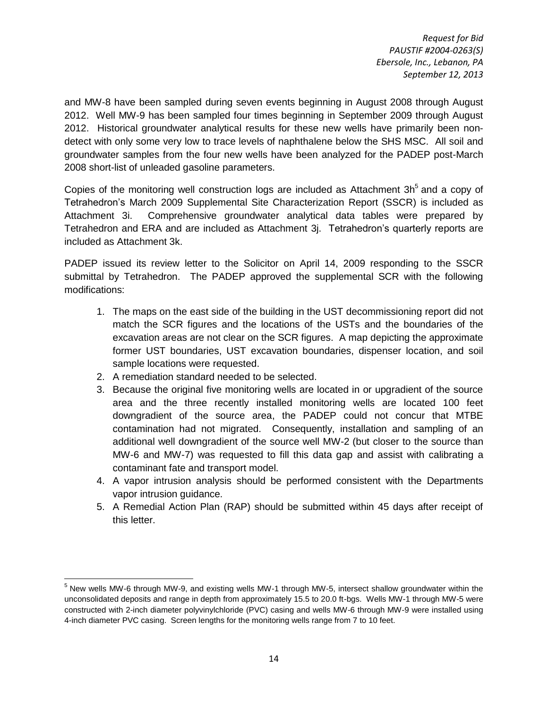and MW-8 have been sampled during seven events beginning in August 2008 through August 2012. Well MW-9 has been sampled four times beginning in September 2009 through August 2012. Historical groundwater analytical results for these new wells have primarily been nondetect with only some very low to trace levels of naphthalene below the SHS MSC. All soil and groundwater samples from the four new wells have been analyzed for the PADEP post-March 2008 short-list of unleaded gasoline parameters.

Copies of the monitoring well construction logs are included as Attachment  $3h<sup>5</sup>$  and a copy of Tetrahedron's March 2009 Supplemental Site Characterization Report (SSCR) is included as Attachment 3i. Comprehensive groundwater analytical data tables were prepared by Tetrahedron and ERA and are included as Attachment 3j. Tetrahedron's quarterly reports are included as Attachment 3k.

PADEP issued its review letter to the Solicitor on April 14, 2009 responding to the SSCR submittal by Tetrahedron. The PADEP approved the supplemental SCR with the following modifications:

- 1. The maps on the east side of the building in the UST decommissioning report did not match the SCR figures and the locations of the USTs and the boundaries of the excavation areas are not clear on the SCR figures. A map depicting the approximate former UST boundaries, UST excavation boundaries, dispenser location, and soil sample locations were requested.
- 2. A remediation standard needed to be selected.
- 3. Because the original five monitoring wells are located in or upgradient of the source area and the three recently installed monitoring wells are located 100 feet downgradient of the source area, the PADEP could not concur that MTBE contamination had not migrated. Consequently, installation and sampling of an additional well downgradient of the source well MW-2 (but closer to the source than MW-6 and MW-7) was requested to fill this data gap and assist with calibrating a contaminant fate and transport model.
- 4. A vapor intrusion analysis should be performed consistent with the Departments vapor intrusion guidance.
- 5. A Remedial Action Plan (RAP) should be submitted within 45 days after receipt of this letter.

 $\overline{a}$  $<sup>5</sup>$  New wells MW-6 through MW-9, and existing wells MW-1 through MW-5, intersect shallow groundwater within the</sup> unconsolidated deposits and range in depth from approximately 15.5 to 20.0 ft-bgs. Wells MW-1 through MW-5 were constructed with 2-inch diameter polyvinylchloride (PVC) casing and wells MW-6 through MW-9 were installed using 4-inch diameter PVC casing. Screen lengths for the monitoring wells range from 7 to 10 feet.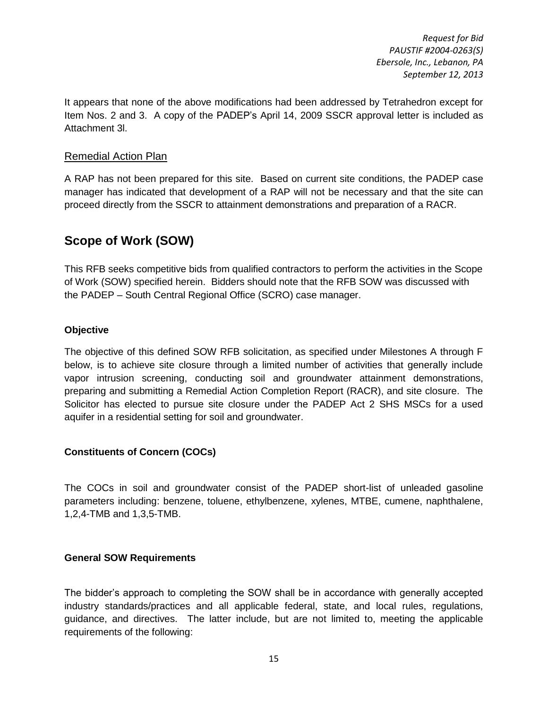It appears that none of the above modifications had been addressed by Tetrahedron except for Item Nos. 2 and 3. A copy of the PADEP's April 14, 2009 SSCR approval letter is included as Attachment 3l.

#### Remedial Action Plan

A RAP has not been prepared for this site. Based on current site conditions, the PADEP case manager has indicated that development of a RAP will not be necessary and that the site can proceed directly from the SSCR to attainment demonstrations and preparation of a RACR.

# <span id="page-16-0"></span>**Scope of Work (SOW)**

This RFB seeks competitive bids from qualified contractors to perform the activities in the Scope of Work (SOW) specified herein. Bidders should note that the RFB SOW was discussed with the PADEP – South Central Regional Office (SCRO) case manager.

#### <span id="page-16-1"></span>**Objective**

The objective of this defined SOW RFB solicitation, as specified under Milestones A through F below, is to achieve site closure through a limited number of activities that generally include vapor intrusion screening, conducting soil and groundwater attainment demonstrations, preparing and submitting a Remedial Action Completion Report (RACR), and site closure. The Solicitor has elected to pursue site closure under the PADEP Act 2 SHS MSCs for a used aquifer in a residential setting for soil and groundwater.

#### <span id="page-16-2"></span>**Constituents of Concern (COCs)**

The COCs in soil and groundwater consist of the PADEP short-list of unleaded gasoline parameters including: benzene, toluene, ethylbenzene, xylenes, MTBE, cumene, naphthalene, 1,2,4-TMB and 1,3,5-TMB.

#### <span id="page-16-3"></span>**General SOW Requirements**

The bidder's approach to completing the SOW shall be in accordance with generally accepted industry standards/practices and all applicable federal, state, and local rules, regulations, guidance, and directives. The latter include, but are not limited to, meeting the applicable requirements of the following: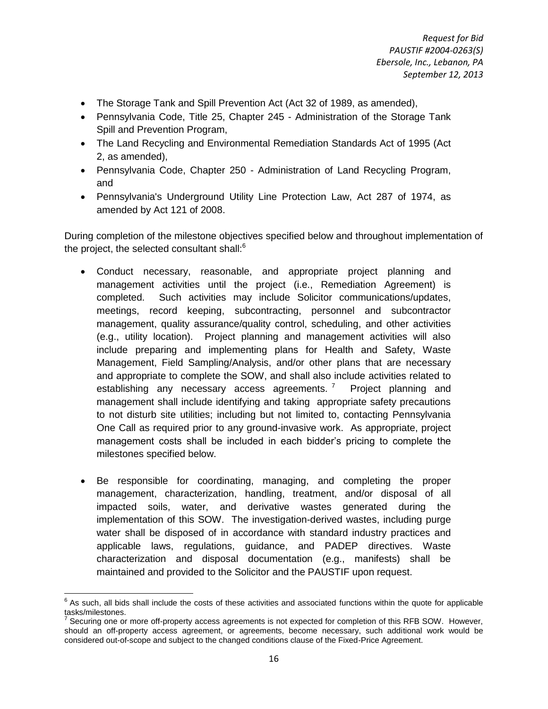- The Storage Tank and Spill Prevention Act (Act 32 of 1989, as amended),
- Pennsylvania Code, Title 25, Chapter 245 Administration of the Storage Tank Spill and Prevention Program,
- The Land Recycling and Environmental Remediation Standards Act of 1995 (Act 2, as amended),
- Pennsylvania Code, Chapter 250 Administration of Land Recycling Program, and
- Pennsylvania's Underground Utility Line Protection Law, Act 287 of 1974, as amended by Act 121 of 2008.

During completion of the milestone objectives specified below and throughout implementation of the project, the selected consultant shall:<sup>6</sup>

- Conduct necessary, reasonable, and appropriate project planning and management activities until the project (i.e., Remediation Agreement) is completed. Such activities may include Solicitor communications/updates, meetings, record keeping, subcontracting, personnel and subcontractor management, quality assurance/quality control, scheduling, and other activities (e.g., utility location). Project planning and management activities will also include preparing and implementing plans for Health and Safety, Waste Management, Field Sampling/Analysis, and/or other plans that are necessary and appropriate to complete the SOW, and shall also include activities related to establishing any necessary access agreements.<sup>7</sup> Project planning and management shall include identifying and taking appropriate safety precautions to not disturb site utilities; including but not limited to, contacting Pennsylvania One Call as required prior to any ground-invasive work. As appropriate, project management costs shall be included in each bidder's pricing to complete the milestones specified below.
- Be responsible for coordinating, managing, and completing the proper management, characterization, handling, treatment, and/or disposal of all impacted soils, water, and derivative wastes generated during the implementation of this SOW. The investigation-derived wastes, including purge water shall be disposed of in accordance with standard industry practices and applicable laws, regulations, guidance, and PADEP directives. Waste characterization and disposal documentation (e.g., manifests) shall be maintained and provided to the Solicitor and the PAUSTIF upon request.

<sup>&</sup>lt;u>Fill be such, all bids shall include the costs of these activities and associated functions within the quote for applicable</u>

tasks/milestones.<br><sup>7</sup> Securing one or more off-property access agreements is not expected for completion of this RFB SOW. However, should an off-property access agreement, or agreements, become necessary, such additional work would be considered out-of-scope and subject to the changed conditions clause of the Fixed-Price Agreement.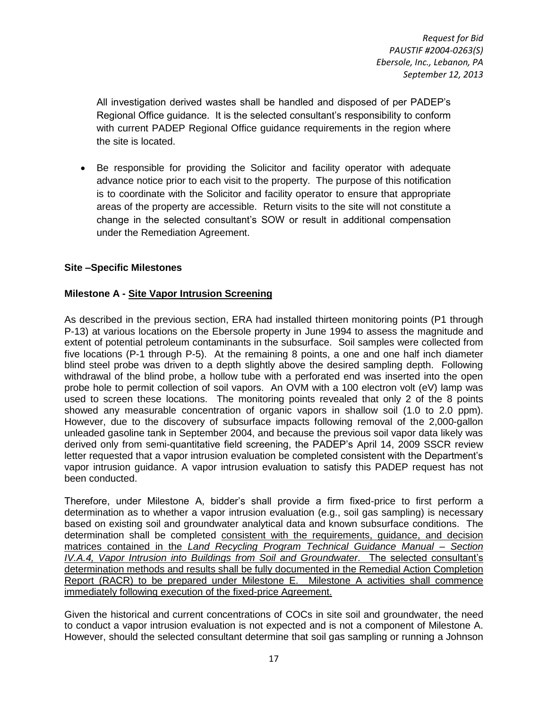All investigation derived wastes shall be handled and disposed of per PADEP's Regional Office guidance. It is the selected consultant's responsibility to conform with current PADEP Regional Office guidance requirements in the region where the site is located.

 Be responsible for providing the Solicitor and facility operator with adequate advance notice prior to each visit to the property. The purpose of this notification is to coordinate with the Solicitor and facility operator to ensure that appropriate areas of the property are accessible. Return visits to the site will not constitute a change in the selected consultant's SOW or result in additional compensation under the Remediation Agreement.

#### <span id="page-18-0"></span>**Site –Specific Milestones**

#### **Milestone A - Site Vapor Intrusion Screening**

As described in the previous section, ERA had installed thirteen monitoring points (P1 through P-13) at various locations on the Ebersole property in June 1994 to assess the magnitude and extent of potential petroleum contaminants in the subsurface. Soil samples were collected from five locations (P-1 through P-5). At the remaining 8 points, a one and one half inch diameter blind steel probe was driven to a depth slightly above the desired sampling depth. Following withdrawal of the blind probe, a hollow tube with a perforated end was inserted into the open probe hole to permit collection of soil vapors. An OVM with a 100 electron volt (eV) lamp was used to screen these locations. The monitoring points revealed that only 2 of the 8 points showed any measurable concentration of organic vapors in shallow soil (1.0 to 2.0 ppm). However, due to the discovery of subsurface impacts following removal of the 2,000-gallon unleaded gasoline tank in September 2004, and because the previous soil vapor data likely was derived only from semi-quantitative field screening, the PADEP's April 14, 2009 SSCR review letter requested that a vapor intrusion evaluation be completed consistent with the Department's vapor intrusion guidance. A vapor intrusion evaluation to satisfy this PADEP request has not been conducted.

Therefore, under Milestone A, bidder's shall provide a firm fixed-price to first perform a determination as to whether a vapor intrusion evaluation (e.g., soil gas sampling) is necessary based on existing soil and groundwater analytical data and known subsurface conditions. The determination shall be completed consistent with the requirements, guidance, and decision matrices contained in the *Land Recycling Program Technical Guidance Manual – Section IV.A.4, Vapor Intrusion into Buildings from Soil and Groundwater*. The selected consultant's determination methods and results shall be fully documented in the Remedial Action Completion Report (RACR) to be prepared under Milestone E. Milestone A activities shall commence immediately following execution of the fixed-price Agreement.

Given the historical and current concentrations of COCs in site soil and groundwater, the need to conduct a vapor intrusion evaluation is not expected and is not a component of Milestone A. However, should the selected consultant determine that soil gas sampling or running a Johnson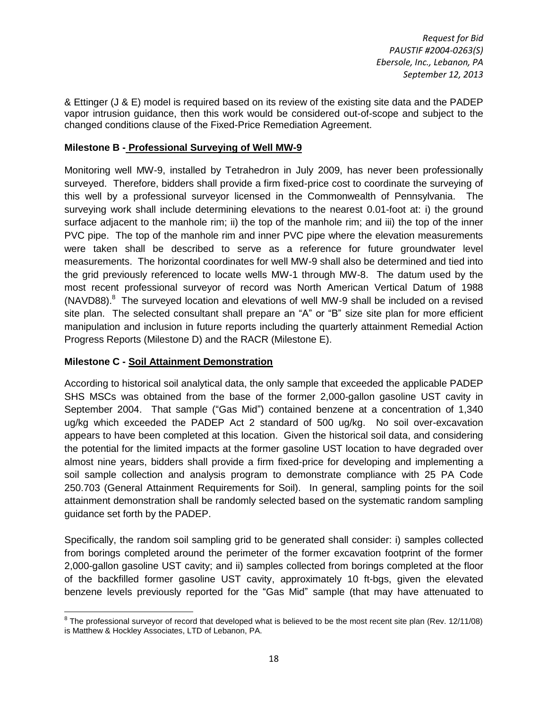& Ettinger (J & E) model is required based on its review of the existing site data and the PADEP vapor intrusion guidance, then this work would be considered out-of-scope and subject to the changed conditions clause of the Fixed-Price Remediation Agreement.

#### **Milestone B - Professional Surveying of Well MW-9**

Monitoring well MW-9, installed by Tetrahedron in July 2009, has never been professionally surveyed. Therefore, bidders shall provide a firm fixed-price cost to coordinate the surveying of this well by a professional surveyor licensed in the Commonwealth of Pennsylvania. The surveying work shall include determining elevations to the nearest 0.01-foot at: i) the ground surface adjacent to the manhole rim; ii) the top of the manhole rim; and iii) the top of the inner PVC pipe. The top of the manhole rim and inner PVC pipe where the elevation measurements were taken shall be described to serve as a reference for future groundwater level measurements. The horizontal coordinates for well MW-9 shall also be determined and tied into the grid previously referenced to locate wells MW-1 through MW-8. The datum used by the most recent professional surveyor of record was North American Vertical Datum of 1988 (NAVD88).<sup>8</sup> The surveyed location and elevations of well MW-9 shall be included on a revised site plan. The selected consultant shall prepare an "A" or "B" size site plan for more efficient manipulation and inclusion in future reports including the quarterly attainment Remedial Action Progress Reports (Milestone D) and the RACR (Milestone E).

#### **Milestone C - Soil Attainment Demonstration**

According to historical soil analytical data, the only sample that exceeded the applicable PADEP SHS MSCs was obtained from the base of the former 2,000-gallon gasoline UST cavity in September 2004. That sample ("Gas Mid") contained benzene at a concentration of 1,340 ug/kg which exceeded the PADEP Act 2 standard of 500 ug/kg. No soil over-excavation appears to have been completed at this location. Given the historical soil data, and considering the potential for the limited impacts at the former gasoline UST location to have degraded over almost nine years, bidders shall provide a firm fixed-price for developing and implementing a soil sample collection and analysis program to demonstrate compliance with 25 PA Code 250.703 (General Attainment Requirements for Soil). In general, sampling points for the soil attainment demonstration shall be randomly selected based on the systematic random sampling guidance set forth by the PADEP.

Specifically, the random soil sampling grid to be generated shall consider: i) samples collected from borings completed around the perimeter of the former excavation footprint of the former 2,000-gallon gasoline UST cavity; and ii) samples collected from borings completed at the floor of the backfilled former gasoline UST cavity, approximately 10 ft-bgs, given the elevated benzene levels previously reported for the "Gas Mid" sample (that may have attenuated to

l  $8$  The professional surveyor of record that developed what is believed to be the most recent site plan (Rev. 12/11/08) is Matthew & Hockley Associates, LTD of Lebanon, PA.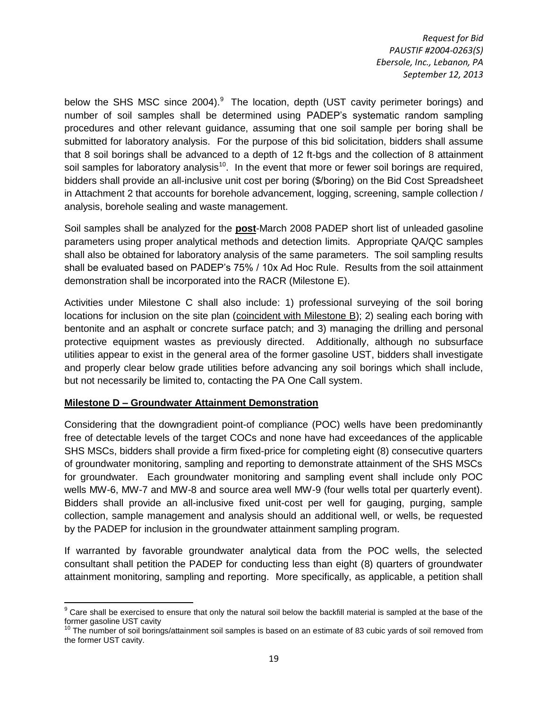below the SHS MSC since 2004). The location, depth (UST cavity perimeter borings) and number of soil samples shall be determined using PADEP's systematic random sampling procedures and other relevant guidance, assuming that one soil sample per boring shall be submitted for laboratory analysis. For the purpose of this bid solicitation, bidders shall assume that 8 soil borings shall be advanced to a depth of 12 ft-bgs and the collection of 8 attainment soil samples for laboratory analysis<sup>10</sup>. In the event that more or fewer soil borings are required, bidders shall provide an all-inclusive unit cost per boring (\$/boring) on the Bid Cost Spreadsheet in Attachment 2 that accounts for borehole advancement, logging, screening, sample collection / analysis, borehole sealing and waste management.

Soil samples shall be analyzed for the **post**-March 2008 PADEP short list of unleaded gasoline parameters using proper analytical methods and detection limits. Appropriate QA/QC samples shall also be obtained for laboratory analysis of the same parameters. The soil sampling results shall be evaluated based on PADEP's 75% / 10x Ad Hoc Rule. Results from the soil attainment demonstration shall be incorporated into the RACR (Milestone E).

Activities under Milestone C shall also include: 1) professional surveying of the soil boring locations for inclusion on the site plan (coincident with Milestone B); 2) sealing each boring with bentonite and an asphalt or concrete surface patch; and 3) managing the drilling and personal protective equipment wastes as previously directed. Additionally, although no subsurface utilities appear to exist in the general area of the former gasoline UST, bidders shall investigate and properly clear below grade utilities before advancing any soil borings which shall include, but not necessarily be limited to, contacting the PA One Call system.

#### **Milestone D – Groundwater Attainment Demonstration**

Considering that the downgradient point-of compliance (POC) wells have been predominantly free of detectable levels of the target COCs and none have had exceedances of the applicable SHS MSCs, bidders shall provide a firm fixed-price for completing eight (8) consecutive quarters of groundwater monitoring, sampling and reporting to demonstrate attainment of the SHS MSCs for groundwater. Each groundwater monitoring and sampling event shall include only POC wells MW-6, MW-7 and MW-8 and source area well MW-9 (four wells total per quarterly event). Bidders shall provide an all-inclusive fixed unit-cost per well for gauging, purging, sample collection, sample management and analysis should an additional well, or wells, be requested by the PADEP for inclusion in the groundwater attainment sampling program.

If warranted by favorable groundwater analytical data from the POC wells, the selected consultant shall petition the PADEP for conducting less than eight (8) quarters of groundwater attainment monitoring, sampling and reporting. More specifically, as applicable, a petition shall

 $\overline{\phantom{a}}$ <sup>9</sup> Care shall be exercised to ensure that only the natural soil below the backfill material is sampled at the base of the former gasoline UST cavity

 $10$  The number of soil borings/attainment soil samples is based on an estimate of 83 cubic yards of soil removed from the former UST cavity.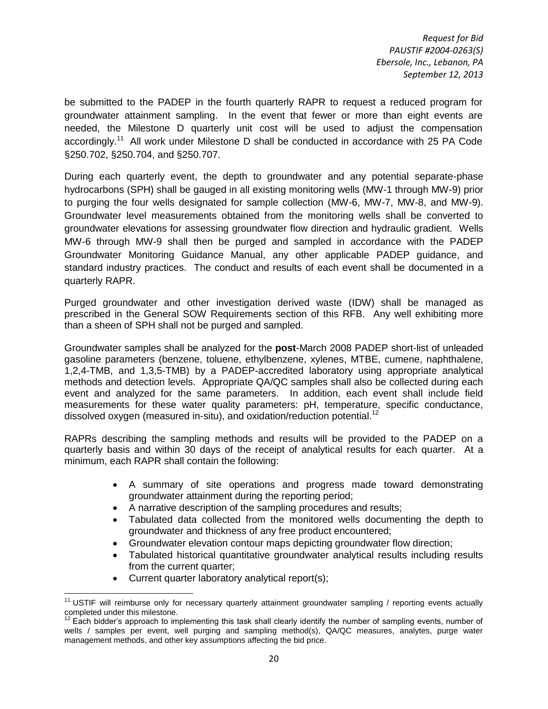be submitted to the PADEP in the fourth quarterly RAPR to request a reduced program for groundwater attainment sampling. In the event that fewer or more than eight events are needed, the Milestone D quarterly unit cost will be used to adjust the compensation accordingly.<sup>11</sup> All work under Milestone D shall be conducted in accordance with 25 PA Code §250.702, §250.704, and §250.707.

During each quarterly event, the depth to groundwater and any potential separate-phase hydrocarbons (SPH) shall be gauged in all existing monitoring wells (MW-1 through MW-9) prior to purging the four wells designated for sample collection (MW-6, MW-7, MW-8, and MW-9). Groundwater level measurements obtained from the monitoring wells shall be converted to groundwater elevations for assessing groundwater flow direction and hydraulic gradient. Wells MW-6 through MW-9 shall then be purged and sampled in accordance with the PADEP Groundwater Monitoring Guidance Manual, any other applicable PADEP guidance, and standard industry practices. The conduct and results of each event shall be documented in a quarterly RAPR.

Purged groundwater and other investigation derived waste (IDW) shall be managed as prescribed in the General SOW Requirements section of this RFB. Any well exhibiting more than a sheen of SPH shall not be purged and sampled.

Groundwater samples shall be analyzed for the **post**-March 2008 PADEP short-list of unleaded gasoline parameters (benzene, toluene, ethylbenzene, xylenes, MTBE, cumene, naphthalene, 1,2,4-TMB, and 1,3,5-TMB) by a PADEP-accredited laboratory using appropriate analytical methods and detection levels. Appropriate QA/QC samples shall also be collected during each event and analyzed for the same parameters. In addition, each event shall include field measurements for these water quality parameters: pH, temperature, specific conductance, dissolved oxygen (measured in-situ), and oxidation/reduction potential.<sup>12</sup>

RAPRs describing the sampling methods and results will be provided to the PADEP on a quarterly basis and within 30 days of the receipt of analytical results for each quarter. At a minimum, each RAPR shall contain the following:

- A summary of site operations and progress made toward demonstrating groundwater attainment during the reporting period;
- A narrative description of the sampling procedures and results;
- Tabulated data collected from the monitored wells documenting the depth to groundwater and thickness of any free product encountered;
- Groundwater elevation contour maps depicting groundwater flow direction;
- Tabulated historical quantitative groundwater analytical results including results from the current quarter;
- Current quarter laboratory analytical report(s);

l  $11$  USTIF will reimburse only for necessary quarterly attainment groundwater sampling / reporting events actually completed under this milestone.

 $12$  Each bidder's approach to implementing this task shall clearly identify the number of sampling events, number of wells / samples per event, well purging and sampling method(s), QA/QC measures, analytes, purge water management methods, and other key assumptions affecting the bid price.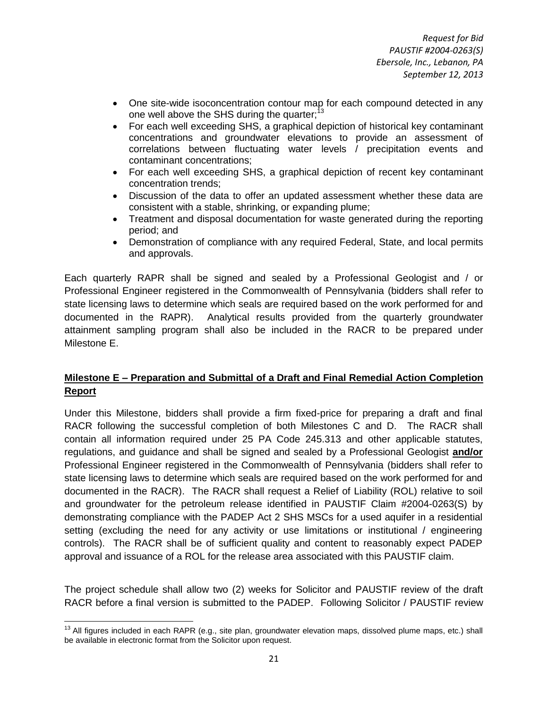- One site-wide isoconcentration contour map for each compound detected in any one well above the SHS during the quarter;<sup>13</sup>
- For each well exceeding SHS, a graphical depiction of historical key contaminant concentrations and groundwater elevations to provide an assessment of correlations between fluctuating water levels / precipitation events and contaminant concentrations;
- For each well exceeding SHS, a graphical depiction of recent key contaminant concentration trends;
- Discussion of the data to offer an updated assessment whether these data are consistent with a stable, shrinking, or expanding plume;
- Treatment and disposal documentation for waste generated during the reporting period; and
- Demonstration of compliance with any required Federal, State, and local permits and approvals.

Each quarterly RAPR shall be signed and sealed by a Professional Geologist and / or Professional Engineer registered in the Commonwealth of Pennsylvania (bidders shall refer to state licensing laws to determine which seals are required based on the work performed for and documented in the RAPR). Analytical results provided from the quarterly groundwater attainment sampling program shall also be included in the RACR to be prepared under Milestone E.

#### **Milestone E – Preparation and Submittal of a Draft and Final Remedial Action Completion Report**

Under this Milestone, bidders shall provide a firm fixed-price for preparing a draft and final RACR following the successful completion of both Milestones C and D. The RACR shall contain all information required under 25 PA Code 245.313 and other applicable statutes, regulations, and guidance and shall be signed and sealed by a Professional Geologist **and/or** Professional Engineer registered in the Commonwealth of Pennsylvania (bidders shall refer to state licensing laws to determine which seals are required based on the work performed for and documented in the RACR). The RACR shall request a Relief of Liability (ROL) relative to soil and groundwater for the petroleum release identified in PAUSTIF Claim #2004-0263(S) by demonstrating compliance with the PADEP Act 2 SHS MSCs for a used aquifer in a residential setting (excluding the need for any activity or use limitations or institutional / engineering controls). The RACR shall be of sufficient quality and content to reasonably expect PADEP approval and issuance of a ROL for the release area associated with this PAUSTIF claim.

The project schedule shall allow two (2) weeks for Solicitor and PAUSTIF review of the draft RACR before a final version is submitted to the PADEP. Following Solicitor / PAUSTIF review

 $\overline{a}$ 

 $13$  All figures included in each RAPR (e.g., site plan, groundwater elevation maps, dissolved plume maps, etc.) shall be available in electronic format from the Solicitor upon request.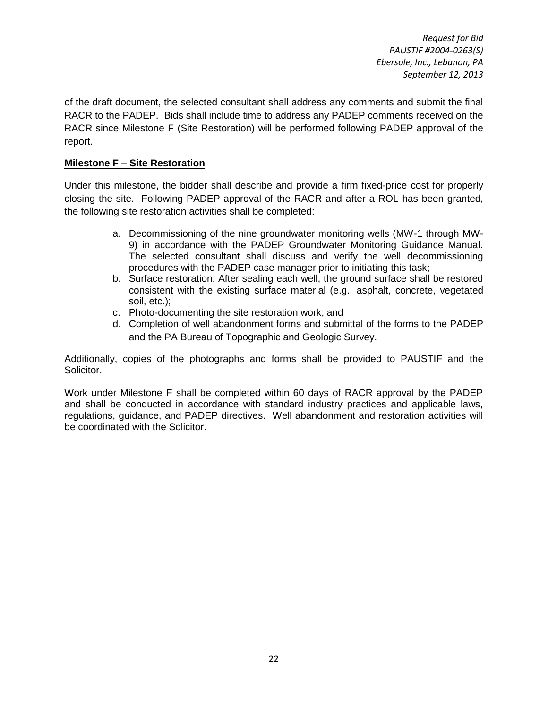of the draft document, the selected consultant shall address any comments and submit the final RACR to the PADEP. Bids shall include time to address any PADEP comments received on the RACR since Milestone F (Site Restoration) will be performed following PADEP approval of the report.

#### **Milestone F – Site Restoration**

Under this milestone, the bidder shall describe and provide a firm fixed-price cost for properly closing the site. Following PADEP approval of the RACR and after a ROL has been granted, the following site restoration activities shall be completed:

- a. Decommissioning of the nine groundwater monitoring wells (MW-1 through MW-9) in accordance with the PADEP Groundwater Monitoring Guidance Manual. The selected consultant shall discuss and verify the well decommissioning procedures with the PADEP case manager prior to initiating this task;
- b. Surface restoration: After sealing each well, the ground surface shall be restored consistent with the existing surface material (e.g., asphalt, concrete, vegetated soil, etc.);
- c. Photo-documenting the site restoration work; and
- d. Completion of well abandonment forms and submittal of the forms to the PADEP and the PA Bureau of Topographic and Geologic Survey.

Additionally, copies of the photographs and forms shall be provided to PAUSTIF and the Solicitor.

Work under Milestone F shall be completed within 60 days of RACR approval by the PADEP and shall be conducted in accordance with standard industry practices and applicable laws, regulations, guidance, and PADEP directives. Well abandonment and restoration activities will be coordinated with the Solicitor.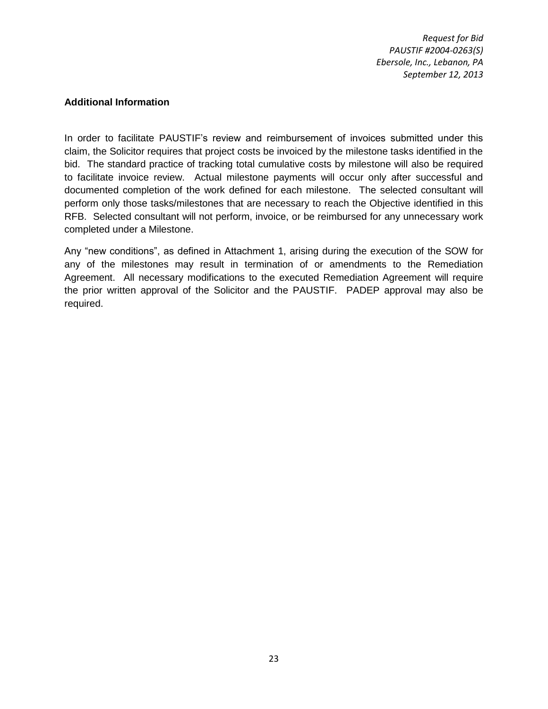#### <span id="page-24-0"></span>**Additional Information**

In order to facilitate PAUSTIF's review and reimbursement of invoices submitted under this claim, the Solicitor requires that project costs be invoiced by the milestone tasks identified in the bid. The standard practice of tracking total cumulative costs by milestone will also be required to facilitate invoice review. Actual milestone payments will occur only after successful and documented completion of the work defined for each milestone. The selected consultant will perform only those tasks/milestones that are necessary to reach the Objective identified in this RFB. Selected consultant will not perform, invoice, or be reimbursed for any unnecessary work completed under a Milestone.

Any "new conditions", as defined in Attachment 1, arising during the execution of the SOW for any of the milestones may result in termination of or amendments to the Remediation Agreement. All necessary modifications to the executed Remediation Agreement will require the prior written approval of the Solicitor and the PAUSTIF. PADEP approval may also be required.